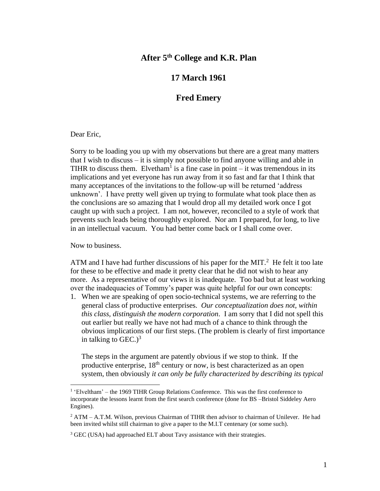## **After 5th College and K.R. Plan**

## **17 March 1961**

## **Fred Emery**

## Dear Eric,

Sorry to be loading you up with my observations but there are a great many matters that I wish to discuss – it is simply not possible to find anyone willing and able in TIHR to discuss them. Elvetham<sup>1</sup> is a fine case in point  $-$  it was tremendous in its implications and yet everyone has run away from it so fast and far that I think that many acceptances of the invitations to the follow-up will be returned 'address unknown'. I have pretty well given up trying to formulate what took place then as the conclusions are so amazing that I would drop all my detailed work once I got caught up with such a project. I am not, however, reconciled to a style of work that prevents such leads being thoroughly explored. Nor am I prepared, for long, to live in an intellectual vacuum. You had better come back or I shall come over.

Now to business.

ATM and I have had further discussions of his paper for the MIT.<sup>2</sup> He felt it too late for these to be effective and made it pretty clear that he did not wish to hear any more. As a representative of our views it is inadequate. Too bad but at least working over the inadequacies of Tommy's paper was quite helpful for our own concepts:

1. When we are speaking of open socio-technical systems, we are referring to the general class of productive enterprises. *Our conceptualization does not, within this class, distinguish the modern corporation*. I am sorry that I did not spell this out earlier but really we have not had much of a chance to think through the obvious implications of our first steps. (The problem is clearly of first importance in talking to  $GEC.$ )<sup>3</sup>

The steps in the argument are patently obvious if we stop to think. If the productive enterprise,  $18<sup>th</sup>$  century or now, is best characterized as an open system, then obviously *it can only be fully characterized by describing its typical* 

<sup>&</sup>lt;sup>1</sup> 'Elveltham' – the 1969 TIHR Group Relations Conference. This was the first conference to incorporate the lessons learnt from the first search conference (done for BS –Bristol Siddeley Aero Engines).

 $2$  ATM – A.T.M. Wilson, previous Chairman of TIHR then advisor to chairman of Unilever. He had been invited whilst still chairman to give a paper to the M.I.T centenary (or some such).

<sup>&</sup>lt;sup>3</sup> GEC (USA) had approached ELT about Tavy assistance with their strategies.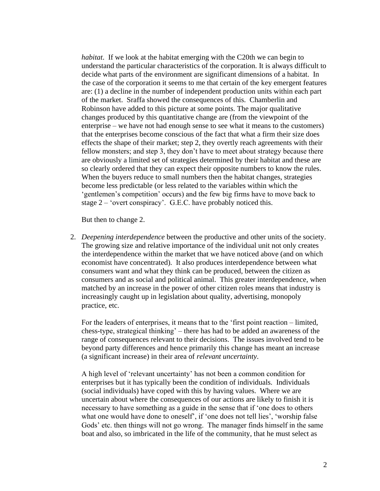*habitat*. If we look at the habitat emerging with the C20th we can begin to understand the particular characteristics of the corporation. It is always difficult to decide what parts of the environment are significant dimensions of a habitat. In the case of the corporation it seems to me that certain of the key emergent features are: (1) a decline in the number of independent production units within each part of the market. Sraffa showed the consequences of this. Chamberlin and Robinson have added to this picture at some points. The major qualitative changes produced by this quantitative change are (from the viewpoint of the enterprise – we have not had enough sense to see what it means to the customers) that the enterprises become conscious of the fact that what a firm their size does effects the shape of their market; step 2, they overtly reach agreements with their fellow monsters; and step 3, they don't have to meet about strategy because there are obviously a limited set of strategies determined by their habitat and these are so clearly ordered that they can expect their opposite numbers to know the rules. When the buyers reduce to small numbers then the habitat changes, strategies become less predictable (or less related to the variables within which the 'gentlemen's competition' occurs) and the few big firms have to move back to stage 2 – 'overt conspiracy'. G.E.C. have probably noticed this.

But then to change 2.

2. *Deepening interdependence* between the productive and other units of the society. The growing size and relative importance of the individual unit not only creates the interdependence within the market that we have noticed above (and on which economist have concentrated). It also produces interdependence between what consumers want and what they think can be produced, between the citizen as consumers and as social and political animal. This greater interdependence, when matched by an increase in the power of other citizen roles means that industry is increasingly caught up in legislation about quality, advertising, monopoly practice, etc.

For the leaders of enterprises, it means that to the 'first point reaction – limited, chess-type, strategical thinking' – there has had to be added an awareness of the range of consequences relevant to their decisions. The issues involved tend to be beyond party differences and hence primarily this change has meant an increase (a significant increase) in their area of *relevant uncertainty*.

A high level of 'relevant uncertainty' has not been a common condition for enterprises but it has typically been the condition of individuals. Individuals (social individuals) have coped with this by having values. Where we are uncertain about where the consequences of our actions are likely to finish it is necessary to have something as a guide in the sense that if 'one does to others what one would have done to oneself', if 'one does not tell lies', 'worship false Gods' etc. then things will not go wrong. The manager finds himself in the same boat and also, so imbricated in the life of the community, that he must select as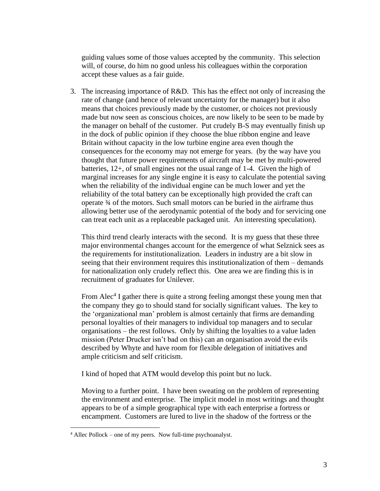guiding values some of those values accepted by the community. This selection will, of course, do him no good unless his colleagues within the corporation accept these values as a fair guide.

3. The increasing importance of R&D. This has the effect not only of increasing the rate of change (and hence of relevant uncertainty for the manager) but it also means that choices previously made by the customer, or choices not previously made but now seen as conscious choices, are now likely to be seen to be made by the manager on behalf of the customer. Put crudely B-S may eventually finish up in the dock of public opinion if they choose the blue ribbon engine and leave Britain without capacity in the low turbine engine area even though the consequences for the economy may not emerge for years. (by the way have you thought that future power requirements of aircraft may be met by multi-powered batteries, 12+, of small engines not the usual range of 1-4. Given the high of marginal increases for any single engine it is easy to calculate the potential saving when the reliability of the individual engine can be much lower and yet the reliability of the total battery can be exceptionally high provided the craft can operate ¾ of the motors. Such small motors can be buried in the airframe thus allowing better use of the aerodynamic potential of the body and for servicing one can treat each unit as a replaceable packaged unit. An interesting speculation).

This third trend clearly interacts with the second. It is my guess that these three major environmental changes account for the emergence of what Selznick sees as the requirements for institutionalization. Leaders in industry are a bit slow in seeing that their environment requires this institutionalization of them – demands for nationalization only crudely reflect this. One area we are finding this is in recruitment of graduates for Unilever.

From Alec<sup>4</sup> I gather there is quite a strong feeling amongst these young men that the company they go to should stand for socially significant values. The key to the 'organizational man' problem is almost certainly that firms are demanding personal loyalties of their managers to individual top managers and to secular organisations – the rest follows. Only by shifting the loyalties to a value laden mission (Peter Drucker isn't bad on this) can an organisation avoid the evils described by Whyte and have room for flexible delegation of initiatives and ample criticism and self criticism.

I kind of hoped that ATM would develop this point but no luck.

Moving to a further point. I have been sweating on the problem of representing the environment and enterprise. The implicit model in most writings and thought appears to be of a simple geographical type with each enterprise a fortress or encampment. Customers are lured to live in the shadow of the fortress or the

<sup>4</sup> Allec Pollock – one of my peers. Now full-time psychoanalyst.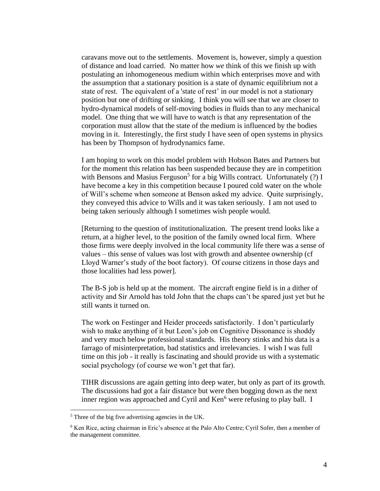caravans move out to the settlements. Movement is, however, simply a question of distance and load carried. No matter how *we* think of this we finish up with postulating an inhomogeneous medium within which enterprises move and with the assumption that a stationary position is a state of dynamic equilibrium not a state of rest. The equivalent of a 'state of rest' in our model is not a stationary position but one of drifting or sinking. I think you will see that we are closer to hydro-dynamical models of self-moving bodies in fluids than to any mechanical model. One thing that we will have to watch is that any representation of the corporation must allow that the state of the medium is influenced by the bodies moving in it. Interestingly, the first study I have seen of open systems in physics has been by Thompson of hydrodynamics fame.

I am hoping to work on this model problem with Hobson Bates and Partners but for the moment this relation has been suspended because they are in competition with Bensons and Masius Ferguson<sup>5</sup> for a big Wills contract. Unfortunately  $(?)$  I have become a key in this competition because I poured cold water on the whole of Will's scheme when someone at Benson asked my advice. Quite surprisingly, they conveyed this advice to Wills and it was taken seriously. I am not used to being taken seriously although I sometimes wish people would.

[Returning to the question of institutionalization. The present trend looks like a return, at a higher level, to the position of the family owned local firm. Where those firms were deeply involved in the local community life there was a sense of values – this sense of values was lost with growth and absentee ownership (cf Lloyd Warner's study of the boot factory). Of course citizens in those days and those localities had less power].

The B-S job is held up at the moment. The aircraft engine field is in a dither of activity and Sir Arnold has told John that the chaps can't be spared just yet but he still wants it turned on.

The work on Festinger and Heider proceeds satisfactorily. I don't particularly wish to make anything of it but Leon's job on Cognitive Dissonance is shoddy and very much below professional standards. His theory stinks and his data is a farrago of misinterpretation, bad statistics and irrelevancies. I wish I was full time on this job - it really is fascinating and should provide us with a systematic social psychology (of course we won't get that far).

TIHR discussions are again getting into deep water, but only as part of its growth. The discussions had got a fair distance but were then bogging down as the next inner region was approached and Cyril and  $\text{Ken}^6$  were refusing to play ball. I

<sup>5</sup> Three of the big five advertising agencies in the UK.

<sup>6</sup> Ken Rice, acting chairman in Eric's absence at the Palo Alto Centre; Cyril Sofer, then a member of the management committee.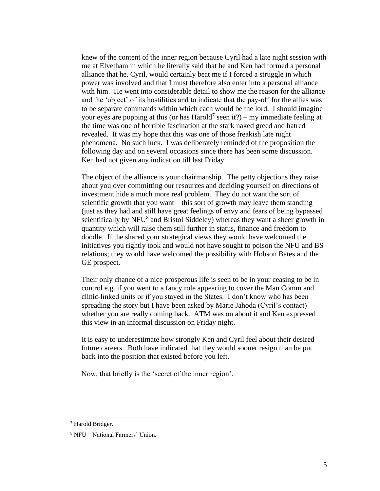knew of the content of the inner region because Cyril had a late night session with me at Elvetham in which he literally said that he and Ken had formed a personal alliance that he, Cyril, would certainly beat me if I forced a struggle in which power was involved and that I must therefore also enter into a personal alliance with him. He went into considerable detail to show me the reason for the alliance and the 'object' of its hostilities and to indicate that the pay-off for the allies was to be separate commands within which each would be the lord. I should imagine your eyes are popping at this (or has Harold<sup>7</sup> seen it?) – my immediate feeling at the time was one of horrible fascination at the stark naked greed and hatred revealed. It was my hope that this was one of those freakish late night phenomena. No such luck. I was deliberately reminded of the proposition the following day and on several occasions since there has been some discussion. Ken had not given any indication till last Friday.

The object of the alliance is your chairmanship. The petty objections they raise about you over committing our resources and deciding yourself on directions of investment hide a much more real problem. They do not want the sort of scientific growth that you want – this sort of growth may leave them standing (just as they had and still have great feelings of envy and fears of being bypassed scientifically by NFU<sup>8</sup> and Bristol Siddeley) whereas they want a sheer growth in quantity which will raise them still further in status, finance and freedom to doodle. If the shared your strategical views they would have welcomed the initiatives you rightly took and would not have sought to poison the NFU and BS relations; they would have welcomed the possibility with Hobson Bates and the GE prospect.

Their only chance of a nice prosperous life is seen to be in your ceasing to be in control e.g. if you went to a fancy role appearing to cover the Man Comm and clinic-linked units or if you stayed in the States. I don't know who has been spreading the story but I have been asked by Marie Jahoda (Cyril's contact) whether you are really coming back. ATM was on about it and Ken expressed this view in an informal discussion on Friday night.

It is easy to underestimate how strongly Ken and Cyril feel about their desired future careers. Both have indicated that they would sooner resign than be put back into the position that existed before you left.

Now, that briefly is the 'secret of the inner region'.

<sup>7</sup> Harold Bridger.

<sup>8</sup> NFU – National Farmers' Union.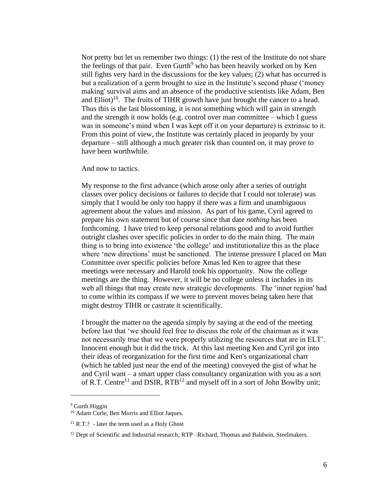Not pretty but let us remember two things: (1) the rest of the Institute do not share the feelings of that pair. Even Gurth<sup>9</sup> who has been heavily worked on by Ken still fights very hard in the discussions for the key values; (2) what has occurred is but a realization of a germ brought to size in the Institute's second phase ('money making' survival aims and an absence of the productive scientists like Adam, Ben and Elliot)<sup>10</sup>. The fruits of TIHR growth have just brought the cancer to a head. Thus this is the last blossoming, it is not something which will gain in strength and the strength it now holds (e.g. control over man committee – which I guess was in someone's mind when I was kept off it on your departure) is extrinsic to it. From this point of view, the Institute was certainly placed in jeopardy by your departure – still although a much greater risk than counted on, it may prove to have been worthwhile.

And now to tactics.

My response to the first advance (which arose only after a series of outright classes over policy decisions or failures to decide that I could not tolerate) was simply that I would be only too happy if there was a firm and unambiguous agreement about the values and mission. As part of his game, Cyril agreed to prepare his own statement but of course since that date *nothing* has been forthcoming. I have tried to keep personal relations good and to avoid further outright clashes over specific policies in order to do the main thing. The main thing is to bring into existence 'the college' and institutionalize this as the place where 'new directions' must be sanctioned. The intense pressure I placed on Man Committee over specific policies before Xmas led Ken to agree that these meetings were necessary and Harold took his opportunity. Now the college meetings are the thing. However, it will be no college unless it includes in its web all things that may create new strategic developments. The 'inner region' had to come within its compass if we were to prevent moves being taken here that might destroy TIHR or castrate it scientifically.

I brought the matter on the agenda simply by saying at the end of the meeting before last that 'we should feel free to discuss the role of the chairman as it was not necessarily true that we were properly utilizing the resources that are in ELT'. Innocent enough but it did the trick. At this last meeting Ken and Cyril got into their ideas of reorganization for the first time and Ken's organizational chart (which he tabled just near the end of the meeting) conveyed the gist of what he and Cyril want – a smart upper class consultancy organization with you as a sort of R.T. Centre<sup>11</sup> and DSIR, RTB<sup>12</sup> and myself off in a sort of John Bowlby unit;

<sup>&</sup>lt;sup>9</sup> Gurth Higgin

<sup>&</sup>lt;sup>10</sup> Adam Curle, Ben Morris and Elliot Jaques.

 $11$  R.T.? - later the term used as a Holy Ghost

 $12$  Dept of Scientific and Industrial research; RTP –Richard, Thomas and Baldwin, Steelmakers.